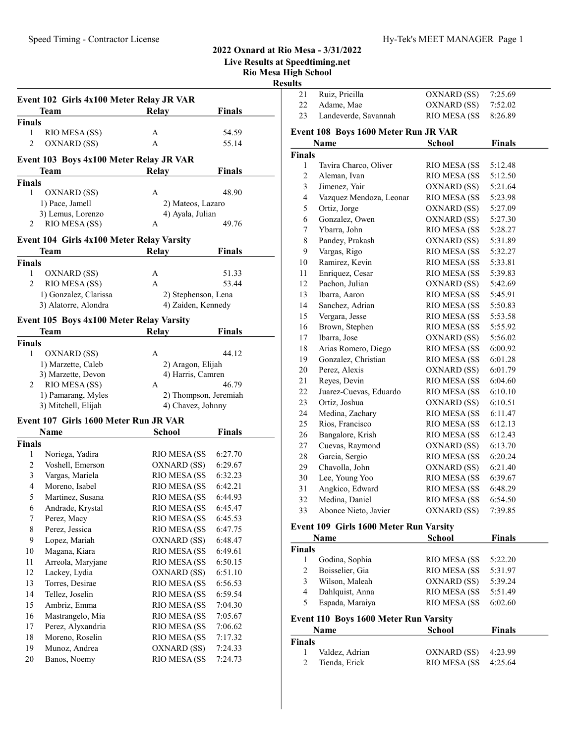# Event 102 Girls 4x100 Meter Relay JR VAR Team Relay Finals Finals 1 RIO MESA (SS) A 54.59 2 OXNARD (SS) A 55.14 Event 103 Boys 4x100 Meter Relay JR VAR Team Relay Finals Finals 1 OXNARD (SS) A 48.90 1) Pace, Jamell 2) Mateos, Lazaro 3) Lemus, Lorenzo 4) Ayala, Julian 2 RIO MESA (SS) A 49.76 Event 104 Girls 4x100 Meter Relay Varsity Team Relay Finals Finals 1 51.33 OXNARD (SS) A 2 53.44 RIO MESA (SS) A 1) Gonzalez, Clarissa 2) Stephenson, Lena 3) Alatorre, Alondra (4) Zaiden, Kennedy Event 105 Boys 4x100 Meter Relay Varsity Team Relay Finals Finals 1 OXNARD (SS) A 44.12 1) Marzette, Caleb 2) Aragon, Elijah 3) Marzette, Devon 4) Harris, Camren 2 RIO MESA (SS) A 46.79 1) Pamarang, Myles 2) Thompson, Jeremiah 3) Mitchell, Elijah 4) Chavez, Johnny Event 107 Girls 1600 Meter Run JR VAR **Name** School Finals Finals 1 Noriega, Yadira RIO MESA (SS 6:27.70 2 Voshell, Emerson OXNARD (SS) 6:29.67 3 6:32.23 Vargas, Mariela RIO MESA (SS 4 Moreno, Isabel RIO MESA (SS 6:42.21 5 Martinez, Susana RIO MESA (SS 6:44.93 6 6:45.47 Andrade, Krystal RIO MESA (SS 7 Perez, Macy RIO MESA (SS 6:45.53 8 Perez, Jessica RIO MESA (SS 6:47.75 9 Lopez, Mariah OXNARD (SS) 6:48.47 10 Magana, Kiara RIO MESA (SS 6:49.61 11 Arreola, Maryjane RIO MESA (SS 6:50.15 12 Lackey, Lydia OXNARD (SS) 6:51.10 13 Torres, Desirae RIO MESA (SS 6:56.53 14 Tellez, Joselin RIO MESA (SS 6:59.54 15 Ambriz, Emma RIO MESA (SS 7:04.30 16 Mastrangelo, Mia RIO MESA (SS 7:05.67 17 Perez, Alyxandria RIO MESA (SS 7:06.62 18 Moreno, Roselin RIO MESA (SS 7:17.32 19 Munoz, Andrea OXNARD (SS) 7:24.33 20 Banos, Noemy RIO MESA (SS 7:24.73

### 2022 Oxnard at Rio Mesa - 3/31/2022

Live Results at Speedtiming.net

Rio Mesa High School

| sesults |
|---------|
|         |

| 21                      | Ruiz, Pricilla                                | OXNARD (SS)   | 7:25.69       |  |
|-------------------------|-----------------------------------------------|---------------|---------------|--|
| 22                      | Adame, Mae                                    | OXNARD (SS)   | 7:52.02       |  |
| 23                      | Landeverde, Savannah                          | RIO MESA (SS  | 8:26.89       |  |
|                         | Event 108 Boys 1600 Meter Run JR VAR          |               |               |  |
|                         | Name                                          | <b>School</b> | <b>Finals</b> |  |
| Finals                  |                                               |               |               |  |
| 1                       | Tavira Charco, Oliver                         | RIO MESA (SS  | 5:12.48       |  |
| $\overline{c}$          | Aleman, Ivan                                  | RIO MESA (SS  | 5:12.50       |  |
| 3                       | Jimenez, Yair                                 | OXNARD (SS)   | 5:21.64       |  |
| $\overline{\mathbf{4}}$ | Vazquez Mendoza, Leonar                       | RIO MESA (SS  | 5:23.98       |  |
| 5                       | Ortiz, Jorge                                  | OXNARD (SS)   | 5:27.09       |  |
| 6                       | Gonzalez, Owen                                | OXNARD (SS)   | 5:27.30       |  |
| $\boldsymbol{7}$        | Ybarra, John                                  | RIO MESA (SS  | 5:28.27       |  |
| 8                       | Pandey, Prakash                               | OXNARD (SS)   | 5:31.89       |  |
| 9                       | Vargas, Rigo                                  | RIO MESA (SS  | 5:32.27       |  |
| $10\,$                  | Ramirez, Kevin                                | RIO MESA (SS  | 5:33.81       |  |
| 11                      | Enriquez, Cesar                               | RIO MESA (SS  | 5:39.83       |  |
| 12                      | Pachon, Julian                                | OXNARD (SS)   | 5:42.69       |  |
| 13                      | Ibarra, Aaron                                 | RIO MESA (SS  | 5:45.91       |  |
| 14                      | Sanchez, Adrian                               | RIO MESA (SS  | 5:50.83       |  |
| 15                      | Vergara, Jesse                                | RIO MESA (SS  | 5:53.58       |  |
| 16                      | Brown, Stephen                                | RIO MESA (SS  | 5:55.92       |  |
| 17                      | Ibarra, Jose                                  | OXNARD (SS)   | 5:56.02       |  |
| 18                      | Arias Romero, Diego                           | RIO MESA (SS  | 6:00.92       |  |
| 19                      | Gonzalez, Christian                           | RIO MESA (SS  | 6:01.28       |  |
| 20                      | Perez, Alexis                                 | OXNARD (SS)   | 6:01.79       |  |
| 21                      | Reyes, Devin                                  | RIO MESA (SS  | 6:04.60       |  |
| 22                      | Juarez-Cuevas, Eduardo                        | RIO MESA (SS  | 6:10.10       |  |
| 23                      | Ortiz, Joshua                                 | OXNARD (SS)   | 6:10.51       |  |
| 24                      | Medina, Zachary                               | RIO MESA (SS  | 6:11.47       |  |
| 25                      | Rios, Francisco                               | RIO MESA (SS  | 6:12.13       |  |
| 26                      | Bangalore, Krish                              | RIO MESA (SS  | 6:12.43       |  |
| 27                      | Cuevas, Raymond                               | OXNARD (SS)   | 6:13.70       |  |
| 28                      | Garcia, Sergio                                | RIO MESA (SS  | 6:20.24       |  |
| 29                      | Chavolla, John                                | OXNARD (SS)   | 6:21.40       |  |
| 30                      | Lee, Young Yoo                                | RIO MESA (SS  | 6:39.67       |  |
| 31                      | Angkico, Edward                               | RIO MESA (SS  | 6:48.29       |  |
| 32                      | Medina, Daniel                                | RIO MESA (SS  | 6:54.50       |  |
| 33                      | Abonce Nieto, Javier                          | OXNARD (SS)   | 7:39.85       |  |
|                         | <b>Event 109 Girls 1600 Meter Run Varsity</b> |               |               |  |
|                         | <b>School</b><br><b>Finals</b><br>Name        |               |               |  |

|               | 114111V                               | pengui        | т піагэ       |  |
|---------------|---------------------------------------|---------------|---------------|--|
| <b>Finals</b> |                                       |               |               |  |
|               | Godina, Sophia                        | RIO MESA (SS  | 5:22.20       |  |
| 2             | Boisselier, Gia                       | RIO MESA (SS  | 5:31.97       |  |
| 3             | Wilson, Maleah                        | OXNARD (SS)   | 5:39.24       |  |
| 4             | Dahlquist, Anna                       | RIO MESA (SS  | 5:51.49       |  |
| 5             | Espada, Maraiya                       | RIO MESA (SS  | 6:02.60       |  |
|               | Event 110 Boys 1600 Meter Run Varsity |               |               |  |
|               | Name                                  | <b>School</b> | <b>Finals</b> |  |
| <b>Finals</b> |                                       |               |               |  |

| inals |                  |                        |  |
|-------|------------------|------------------------|--|
|       | 1 Valdez, Adrian | $OXNARD(SS)$ 4:23.99   |  |
|       | 2 Tienda, Erick  | RIO MESA (SS $4:25.64$ |  |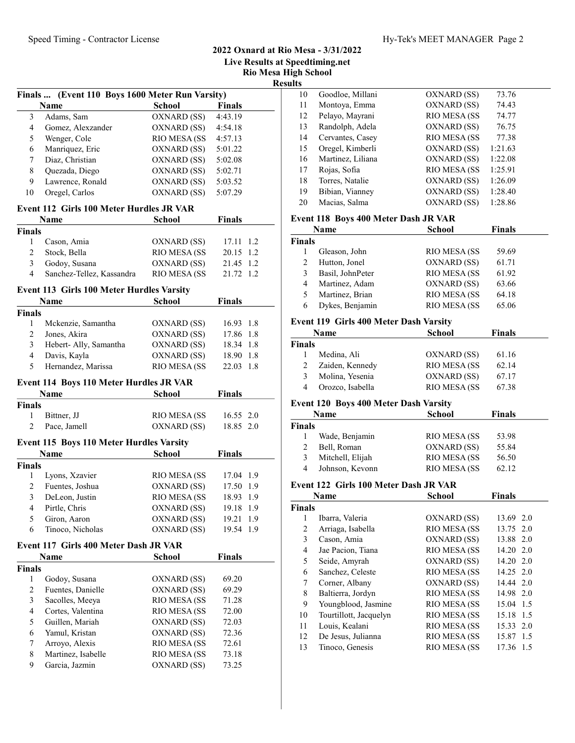## 2022 Oxnard at Rio Mesa - 3/31/2022 Live Results at Speedtiming.net Rio Mesa High School

Result

|                | Finals  (Event 110 Boys 1600 Meter Run Varsity) |                     |               |             |
|----------------|-------------------------------------------------|---------------------|---------------|-------------|
|                | Name                                            | <b>School</b>       | Finals        |             |
| 3              | Adams, Sam                                      | OXNARD (SS)         | 4:43.19       |             |
| 4              | Gomez, Alexzander                               | OXNARD (SS)         | 4:54.18       |             |
| 5              | Wenger, Cole                                    | RIO MESA (SS        | 4:57.13       |             |
| 6              | Manriquez, Eric                                 | OXNARD (SS)         | 5:01.22       |             |
| 7              | Diaz, Christian                                 | OXNARD (SS)         | 5:02.08       |             |
| $\,$ 8 $\,$    | Quezada, Diego                                  | OXNARD (SS) 5:02.71 |               |             |
| 9              | Lawrence, Ronald                                | OXNARD (SS)         | 5:03.52       |             |
| 10             | Oregel, Carlos                                  | OXNARD (SS)         | 5:07.29       |             |
|                | Event 112 Girls 100 Meter Hurdles JR VAR        |                     |               |             |
|                | Name                                            | <b>School</b>       | <b>Finals</b> | Ever        |
| <b>Finals</b>  |                                                 |                     |               |             |
| $\mathbf{1}$   | Cason, Amia                                     | OXNARD (SS)         | 17.11 1.2     | Fina        |
| $\overline{2}$ | Stock, Bella                                    | RIO MESA (SS        | 20.15 1.2     |             |
| 3              | Godoy, Susana                                   | OXNARD (SS)         | 21.45 1.2     |             |
| $\overline{4}$ | Sanchez-Tellez, Kassandra                       | RIO MESA (SS        | 21.72 1.2     |             |
|                | Event 113 Girls 100 Meter Hurdles Varsity       |                     |               |             |
|                | <b>Name</b>                                     | School              | <b>Finals</b> |             |
| <b>Finals</b>  |                                                 |                     |               |             |
| 1              | Mckenzie, Samantha                              | OXNARD (SS)         | 16.93 1.8     | Ever        |
| $\overline{c}$ | Jones, Akira                                    | OXNARD (SS)         | 17.86 1.8     |             |
| 3              | Hebert- Ally, Samantha                          | OXNARD (SS)         | 18.34 1.8     | Fina        |
| $\overline{4}$ | Davis, Kayla                                    | OXNARD (SS)         | 18.90 1.8     |             |
| 5              | Hernandez, Marissa                              | RIO MESA (SS        | 22.03 1.8     |             |
|                | Event 114 Boys 110 Meter Hurdles JR VAR         |                     |               |             |
|                | Name                                            | School              | <b>Finals</b> |             |
| <b>Finals</b>  |                                                 |                     |               | Ever        |
| $\mathbf{1}$   | Bittner, JJ                                     | RIO MESA (SS        | 16.55 2.0     |             |
| $\overline{2}$ | Pace, Jamell                                    | OXNARD (SS)         | 18.85 2.0     | Fina        |
|                | Event 115 Boys 110 Meter Hurdles Varsity        |                     |               |             |
|                | Name                                            | <b>School</b>       | Finals        |             |
| <b>Finals</b>  |                                                 |                     |               |             |
| $\mathbf{1}$   | Lyons, Xzavier                                  | RIO MESA (SS        | 17.04 1.9     |             |
| $\overline{c}$ | Fuentes, Joshua                                 | OXNARD (SS)         | 17.50 1.9     | Ever        |
| $\mathfrak{Z}$ | DeLeon, Justin                                  | RIO MESA (SS        | 18.93 1.9     |             |
| $\overline{4}$ | Pirtle, Chris                                   | OXNARD (SS)         | 19.18         | Fina<br>1.9 |
| 5              | Giron, Aaron                                    | OXNARD (SS)         | 19.21<br>1.9  |             |
| 6              | Tinoco, Nicholas                                | OXNARD (SS)         | 19.54<br>1.9  |             |
|                | Event 117 Girls 400 Meter Dash JR VAR           |                     |               |             |
|                | Name                                            | School              | <b>Finals</b> |             |
| <b>Finals</b>  |                                                 |                     |               |             |
| 1              | Godoy, Susana                                   | OXNARD (SS)         | 69.20         |             |
| $\overline{c}$ | Fuentes, Danielle                               | OXNARD (SS)         | 69.29         |             |
| 3              | Sacolles, Meeya                                 | RIO MESA (SS        | 71.28         |             |
|                |                                                 |                     |               |             |

4 Cortes, Valentina RIO MESA (SS 72.00 5 Guillen, Mariah OXNARD (SS) 72.03 6 72.36 Yamul, Kristan OXNARD (SS) 7 Arroyo, Alexis RIO MESA (SS 72.61) 8 Martinez, Isabelle RIO MESA (SS 73.18<br>9 Garcia, Jazmin OXNARD (SS) 73.25

OXNARD (SS)

| ĽS |                   |              |         |  |
|----|-------------------|--------------|---------|--|
| 10 | Goodloe, Millani  | OXNARD (SS)  | 73.76   |  |
| 11 | Montoya, Emma     | OXNARD (SS)  | 74.43   |  |
| 12 | Pelayo, Mayrani   | RIO MESA (SS | 74.77   |  |
| 13 | Randolph, Adela   | OXNARD (SS)  | 76.75   |  |
| 14 | Cervantes, Casey  | RIO MESA (SS | 77.38   |  |
| 15 | Oregel, Kimberli  | OXNARD (SS)  | 1:21.63 |  |
| 16 | Martinez, Liliana | OXNARD (SS)  | 1:22.08 |  |
| 17 | Rojas, Sofia      | RIO MESA (SS | 1:25.91 |  |
| 18 | Torres, Natalie   | OXNARD (SS)  | 1:26.09 |  |
| 19 | Bibian, Vianney   | OXNARD (SS)  | 1:28.40 |  |
| 20 | Macias, Salma     | OXNARD (SS)  | 1:28.86 |  |
|    |                   |              |         |  |

#### nt 118 Boys 400 Meter Dash JR VAR

|        | Name             | <b>School</b>       | <b>Finals</b> |  |
|--------|------------------|---------------------|---------------|--|
| Finals |                  |                     |               |  |
|        | Gleason, John    | <b>RIO MESA (SS</b> | 59.69         |  |
|        | Hutton, Jonel    | OXNARD (SS)         | 61.71         |  |
| 3      | Basil, JohnPeter | RIO MESA (SS        | 61.92         |  |
| 4      | Martinez, Adam   | OXNARD (SS)         | 63.66         |  |
| 5.     | Martinez, Brian  | RIO MESA (SS        | 64.18         |  |
| 6      | Dykes, Benjamin  | RIO MESA (SS        | 65.06         |  |
|        |                  |                     |               |  |

#### nt 119 Girls 400 Meter Dash Varsity

|        | <b>Name</b>      | <b>School</b> | <b>Finals</b> |  |
|--------|------------------|---------------|---------------|--|
| Finals |                  |               |               |  |
|        | Medina, Ali      | OXNARD (SS)   | 61.16         |  |
|        | Zaiden, Kennedy  | RIO MESA (SS  | 62.14         |  |
|        | Molina, Yesenia  | OXNARD (SS)   | 67.17         |  |
|        | Orozco, Isabella | RIO MESA (SS  | 67.38         |  |

#### nt 120 Boys 400 Meter Dash Varsity

|        | <b>Name</b>      | <b>School</b>       | <b>Finals</b> |  |
|--------|------------------|---------------------|---------------|--|
| Finals |                  |                     |               |  |
|        | Wade, Benjamin   | <b>RIO MESA (SS</b> | 53.98         |  |
|        | Bell, Roman      | OXNARD (SS)         | 55.84         |  |
| 3      | Mitchell, Elijah | <b>RIO MESA (SS</b> | 56.50         |  |
| 4      | Johnson, Kevonn  | <b>RIO MESA (SS</b> | 62.12         |  |

#### Event 122 Girls 100 Meter Dash JR VAR

| <b>Name</b>            | <b>School</b> | <b>Finals</b> |
|------------------------|---------------|---------------|
| Finals                 |               |               |
| Ibarra, Valeria        | OXNARD (SS)   | 13.69 2.0     |
| Arriaga, Isabella      | RIO MESA (SS  | 13.75 2.0     |
| Cason, Amia            | OXNARD (SS)   | 13.88 2.0     |
| Jae Pacion, Tiana      | RIO MESA (SS  | $14.20 \t2.0$ |
| Seide, Amyrah          | OXNARD (SS)   | 14.20 2.0     |
| Sanchez, Celeste       | RIO MESA (SS  | $14.25$ 2.0   |
| Corner, Albany         | OXNARD (SS)   | 14.44 2.0     |
| Baltierra, Jordyn      | RIO MESA (SS  | 14.98 2.0     |
| Youngblood, Jasmine    | RIO MESA (SS  | 15.04 1.5     |
| Tourtillott, Jacquelyn | RIO MESA (SS  | 15.18 1.5     |
| Louis, Kealani         | RIO MESA (SS  | 15.33 2.0     |
| De Jesus, Julianna     | RIO MESA (SS  | 15.87 1.5     |
| Tinoco, Genesis        | RIO MESA (SS  | 17.36 1.5     |
|                        |               |               |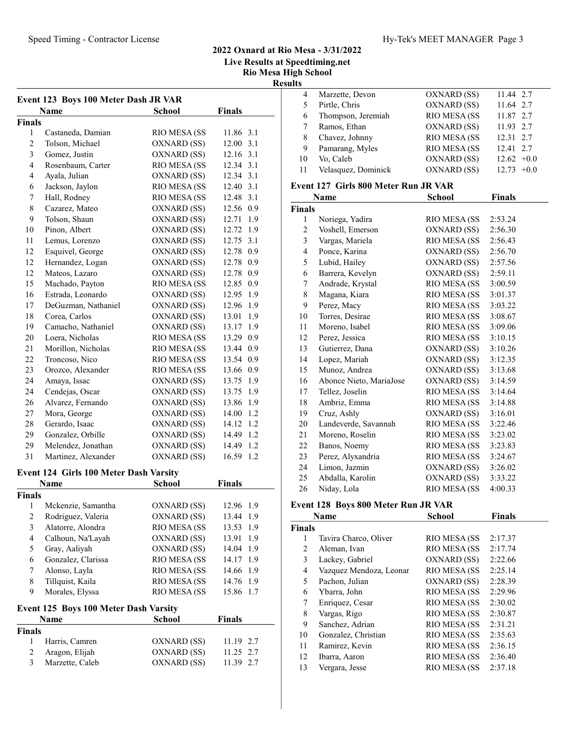# 2022 Oxnard at Rio Mesa - 3/31/2022 Live Results at Speedtiming.net Rio Mesa High School

| Speed Timing - Contractor License |                                        | Hy-Tek's MEET MANAGER Page 3 |
|-----------------------------------|----------------------------------------|------------------------------|
|                                   | $2022$ Oxnard at Rio Mosa $-3/31/2022$ |                              |

Results

| Event 123 Boys 100 Meter Dash JR VAR |                     |                     |               |  |
|--------------------------------------|---------------------|---------------------|---------------|--|
|                                      | <b>Name</b>         | <b>School</b>       | <b>Finals</b> |  |
| <b>Finals</b>                        |                     |                     |               |  |
| 1                                    | Castaneda, Damian   | RIO MESA (SS        | 11.86 3.1     |  |
| $\overline{2}$                       | Tolson, Michael     | OXNARD (SS)         | 3.1<br>12.00  |  |
| 3                                    | Gomez, Justin       | OXNARD (SS)         | 12.16 3.1     |  |
| 4                                    | Rosenbaum, Carter   | RIO MESA (SS        | 12.34 3.1     |  |
| $\overline{4}$                       | Ayala, Julian       | OXNARD (SS)         | 12.34 3.1     |  |
| 6                                    | Jackson, Jaylon     | RIO MESA (SS        | 12.40 3.1     |  |
| 7                                    | Hall, Rodney        | RIO MESA (SS        | 3.1<br>12.48  |  |
| 8                                    | Cazarez, Mateo      | OXNARD (SS)         | 12.56 0.9     |  |
| 9                                    | Tolson, Shaun       | OXNARD (SS)         | 12.71 1.9     |  |
| 10                                   | Pinon, Albert       | OXNARD (SS)         | 12.72 1.9     |  |
| 11                                   | Lemus, Lorenzo      | OXNARD (SS)         | 12.75<br>3.1  |  |
| 12                                   | Esquivel, George    | OXNARD (SS)         | 12.78<br>0.9  |  |
| 12                                   | Hernandez, Logan    | OXNARD (SS)         | 12.78<br>0.9  |  |
| 12                                   | Mateos, Lazaro      | OXNARD (SS)         | 12.78<br>0.9  |  |
| 15                                   | Machado, Payton     | RIO MESA (SS        | 12.85<br>0.9  |  |
| 16                                   | Estrada, Leonardo   | OXNARD (SS)         | 12.95<br>1.9  |  |
| 17                                   | DeGuzman, Nathaniel | OXNARD (SS)         | 12.96 1.9     |  |
| 18                                   | Corea, Carlos       | OXNARD (SS)         | 1.9<br>13.01  |  |
| 19                                   | Camacho, Nathaniel  | OXNARD (SS)         | 1.9<br>13.17  |  |
| 20                                   | Loera, Nicholas     | RIO MESA (SS        | 13.29 0.9     |  |
| 21                                   | Morillon, Nicholas  | RIO MESA (SS        | 13.44 0.9     |  |
| 22                                   | Troncoso, Nico      | <b>RIO MESA (SS</b> | 13.54<br>0.9  |  |
| 23                                   | Orozco, Alexander   | RIO MESA (SS        | 13.66<br>0.9  |  |
| 24                                   | Amaya, Issac        | OXNARD (SS)         | 1.9<br>13.75  |  |
| 24                                   | Cendejas, Oscar     | OXNARD (SS)         | 1.9<br>13.75  |  |
| 26                                   | Alvarez, Fernando   | OXNARD (SS)         | 13.86<br>1.9  |  |
| 27                                   | Mora, George        | OXNARD (SS)         | 14.00<br>1.2  |  |
| 28                                   | Gerardo, Isaac      | OXNARD (SS)         | 1.2<br>14.12  |  |
| 29                                   | Gonzalez, Orbille   | OXNARD (SS)         | 1.2<br>14.49  |  |
| 29                                   | Melendez, Jonathan  | OXNARD (SS)         | 1.2<br>14.49  |  |
| 31                                   | Martinez, Alexander | OXNARD (SS)         | 16.59<br>1.2  |  |

## Event 124 Girls 100 Meter Dash Varsity

|        | <b>Name</b>        | School       | <b>Finals</b> |
|--------|--------------------|--------------|---------------|
| Finals |                    |              |               |
|        | Mckenzie, Samantha | OXNARD (SS)  | 12.96 1.9     |
| 2      | Rodriguez, Valeria | OXNARD (SS)  | 13.44 1.9     |
| 3      | Alatorre, Alondra  | RIO MESA (SS | 13.53<br>1.9  |
| 4      | Calhoun, Na'Layah  | OXNARD (SS)  | 13.91<br>1.9  |
| 5      | Gray, Aaliyah      | OXNARD (SS)  | 14.04<br>-1.9 |
| 6      | Gonzalez, Clarissa | RIO MESA (SS | 14.17 1.9     |
|        | Alonso, Layla      | RIO MESA (SS | 14.66 1.9     |
| 8      | Tillquist, Kaila   | RIO MESA (SS | 14.76<br>1.9  |
| 9      | Morales, Elyssa    | RIO MESA (SS | 15.86<br>1.7  |

### Event 125 Boys 100 Meter Dash Varsity

| <b>Name</b>     | <b>School</b> | <b>Finals</b> |
|-----------------|---------------|---------------|
| Finals          |               |               |
| Harris, Camren  | OXNARD (SS)   | 11.19 2.7     |
| Aragon, Elijah  | OXNARD (SS)   | $11.25$ 2.7   |
| Marzette, Caleb | OXNARD (SS)   | 11.39 2.7     |
|                 |               |               |

| 4  | Marzette, Devon     | OXNARD (SS)  | 11.44 2.7    |
|----|---------------------|--------------|--------------|
| 5  | Pirtle, Chris       | OXNARD (SS)  | 11.64 2.7    |
| 6  | Thompson, Jeremiah  | RIO MESA (SS | 11.87 2.7    |
|    | Ramos, Ethan        | OXNARD (SS)  | 11.93 2.7    |
| 8  | Chavez, Johnny      | RIO MESA (SS | 12.31 2.7    |
| 9  | Pamarang, Myles     | RIO MESA (SS | 12.41 2.7    |
| 10 | Vo, Caleb           | OXNARD (SS)  | $12.62 +0.0$ |
| 11 | Velasquez, Dominick | OXNARD (SS)  | $12.73 +0.0$ |
|    |                     |              |              |

## Event 127 Girls 800 Meter Run JR VAR

|                | Name                    | <b>School</b> | <b>Finals</b> |
|----------------|-------------------------|---------------|---------------|
| <b>Finals</b>  |                         |               |               |
| 1              | Noriega, Yadira         | RIO MESA (SS  | 2:53.24       |
| $\overline{c}$ | Voshell, Emerson        | OXNARD (SS)   | 2:56.30       |
| 3              | Vargas, Mariela         | RIO MESA (SS  | 2:56.43       |
| $\overline{4}$ | Ponce, Karina           | OXNARD (SS)   | 2:56.70       |
| 5              | Lubid, Hailey           | OXNARD (SS)   | 2:57.56       |
| 6              | Barrera, Kevelyn        | OXNARD (SS)   | 2:59.11       |
| 7              | Andrade, Krystal        | RIO MESA (SS  | 3:00.59       |
| 8              | Magana, Kiara           | RIO MESA (SS  | 3:01.37       |
| 9              | Perez, Macy             | RIO MESA (SS  | 3:03.22       |
| 10             | Torres, Desirae         | RIO MESA (SS  | 3:08.67       |
| 11             | Moreno, Isabel          | RIO MESA (SS  | 3:09.06       |
| 12             | Perez, Jessica          | RIO MESA (SS  | 3:10.15       |
| 13             | Gutierrez, Dana         | OXNARD (SS)   | 3:10.26       |
| 14             | Lopez, Mariah           | OXNARD (SS)   | 3:12.35       |
| 15             | Munoz, Andrea           | OXNARD (SS)   | 3:13.68       |
| 16             | Abonce Nieto, MariaJose | OXNARD (SS)   | 3:14.59       |
| 17             | Tellez, Joselin         | RIO MESA (SS  | 3:14.64       |
| 18             | Ambriz, Emma            | RIO MESA (SS  | 3:14.88       |
| 19             | Cruz, Ashly             | OXNARD (SS)   | 3:16.01       |
| 20             | Landeverde, Savannah    | RIO MESA (SS  | 3:22.46       |
| 21             | Moreno, Roselin         | RIO MESA (SS  | 3:23.02       |
| 22             | Banos, Noemy            | RIO MESA (SS  | 3:23.83       |
| 23             | Perez, Alyxandria       | RIO MESA (SS  | 3:24.67       |
| 24             | Limon, Jazmin           | OXNARD (SS)   | 3:26.02       |
| 25             | Abdalla, Karolin        | OXNARD (SS)   | 3:33.22       |
| 26             | Niday, Lola             | RIO MESA (SS  | 4:00.33       |

## Event 128 Boys 800 Meter Run JR VAR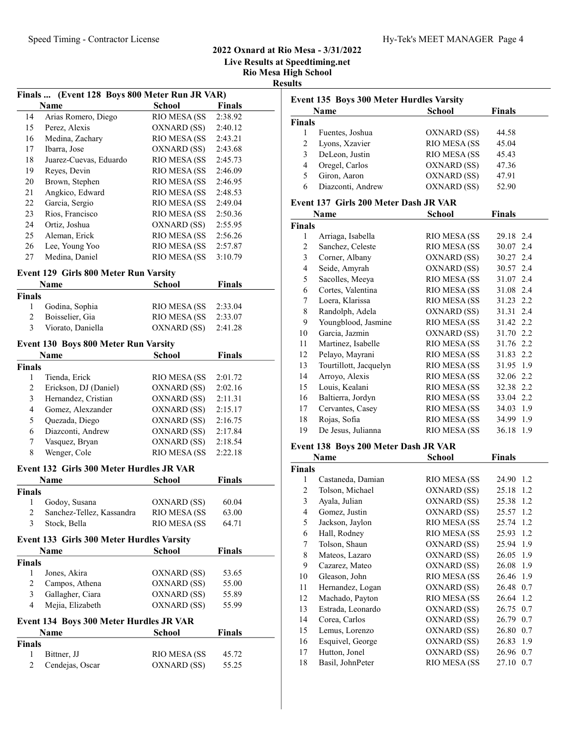## 2022 Oxnard at Rio Mesa - 3/31/2022 Live Results at Speedtiming.net

Rio Mesa High School

Results

|                         |                                               |               | <b>IVIO IMES</b> |  |
|-------------------------|-----------------------------------------------|---------------|------------------|--|
|                         | Finals  (Event 128 Boys 800 Meter Run JR VAR) |               |                  |  |
|                         | Name                                          | <b>School</b> | <b>Finals</b>    |  |
| 14                      | Arias Romero, Diego                           | RIO MESA (SS  | 2:38.92          |  |
| 15                      | Perez, Alexis                                 | OXNARD (SS)   | 2:40.12          |  |
| 16                      | Medina, Zachary                               | RIO MESA (SS  | 2:43.21          |  |
| 17                      | Ibarra, Jose                                  | OXNARD (SS)   | 2:43.68          |  |
| 18                      | Juarez-Cuevas, Eduardo                        | RIO MESA (SS  | 2:45.73          |  |
| 19                      | Reyes, Devin                                  | RIO MESA (SS  | 2:46.09          |  |
| 20                      | Brown, Stephen                                | RIO MESA (SS  | 2:46.95          |  |
| 21                      | Angkico, Edward                               | RIO MESA (SS  | 2:48.53          |  |
| 22                      | Garcia, Sergio                                | RIO MESA (SS  | 2:49.04          |  |
| 23                      | Rios, Francisco                               | RIO MESA (SS  | 2:50.36          |  |
| 24                      | Ortiz, Joshua                                 | OXNARD (SS)   | 2:55.95          |  |
| 25                      | Aleman, Erick                                 | RIO MESA (SS  | 2:56.26          |  |
| 26                      | Lee, Young Yoo                                | RIO MESA (SS  | 2:57.87          |  |
| 27                      | Medina, Daniel                                | RIO MESA (SS  | 3:10.79          |  |
|                         | <b>Event 129 Girls 800 Meter Run Varsity</b>  |               |                  |  |
|                         | Name                                          | <b>School</b> | <b>Finals</b>    |  |
| Finals                  |                                               |               |                  |  |
| 1                       | Godina, Sophia                                | RIO MESA (SS  | 2:33.04          |  |
| $\overline{c}$          | Boisselier, Gia                               | RIO MESA (SS  | 2:33.07          |  |
| 3                       | Viorato, Daniella                             | OXNARD (SS)   | 2:41.28          |  |
|                         | <b>Event 130 Boys 800 Meter Run Varsity</b>   |               |                  |  |
|                         | <b>Name</b>                                   | <b>School</b> | <b>Finals</b>    |  |
| Finals                  |                                               |               |                  |  |
| 1                       | Tienda, Erick                                 | RIO MESA (SS  | 2:01.72          |  |
| 2                       | Erickson, DJ (Daniel)                         | OXNARD (SS)   | 2:02.16          |  |
| 3                       | Hernandez, Cristian                           | OXNARD (SS)   | 2:11.31          |  |
| $\overline{\mathbf{4}}$ | Gomez, Alexzander                             | OXNARD (SS)   | 2:15.17          |  |
|                         | $\sim$ 1 $\mathbb{R}^+$                       | $\mathbf{v}$  |                  |  |

# 5 Quezada, Diego OXNARD (SS) 2:16.75 6 2:17.84 Diazconti, Andrew OXNARD (SS) 7 Vasquez, Bryan OXNARD (SS) 2:18.54 8 Wenger, Cole RIO MESA (SS 2:22.18

# Event 132 Girls 300 Meter Hurdles JR VAR

|               | <b>Name</b>               | <b>School</b>        | Finals |  |
|---------------|---------------------------|----------------------|--------|--|
| Finals        |                           |                      |        |  |
|               | Godoy, Susana             | OXNARD (SS)          | 60.04  |  |
| $\mathcal{L}$ | Sanchez-Tellez, Kassandra | <b>RIO MESA (SS)</b> | 63.00  |  |
| 3             | Stock, Bella              | <b>RIO MESA (SS)</b> | 64.71  |  |

#### Event 133 Girls 300 Meter Hurdles Varsity

|                | Name                                    | School       | Finals |  |
|----------------|-----------------------------------------|--------------|--------|--|
| <b>Finals</b>  |                                         |              |        |  |
|                | Jones, Akira                            | OXNARD (SS)  | 53.65  |  |
| 2              | Campos, Athena                          | OXNARD (SS)  | 55.00  |  |
| 3              | Gallagher, Ciara                        | OXNARD (SS)  | 55.89  |  |
| 4              | Mejia, Elizabeth                        | OXNARD (SS)  | 55.99  |  |
|                | Event 134 Boys 300 Meter Hurdles JR VAR |              |        |  |
|                | Name                                    | School       | Finals |  |
| <b>Finals</b>  |                                         |              |        |  |
|                | Bittner, JJ                             | RIO MESA (SS | 45.72  |  |
| $\overline{c}$ | Cendejas, Oscar                         | OXNARD (SS)  | 55.25  |  |

|        | <b>School</b><br><b>Finals</b><br>Name |              |       |
|--------|----------------------------------------|--------------|-------|
| Finals |                                        |              |       |
|        | Fuentes, Joshua                        | OXNARD (SS)  | 44.58 |
| 2      | Lyons, Xzavier                         | RIO MESA (SS | 45.04 |
| 3      | DeLeon, Justin                         | RIO MESA (SS | 45.43 |
| 4      | Oregel, Carlos                         | OXNARD (SS)  | 47.36 |
|        | Giron, Aaron                           | OXNARD (SS)  | 47.91 |
| 6      | Diazconti, Andrew                      | OXNARD (SS)  | 52.90 |

## Event 137 Girls 200 Meter Dash JR VAR

|               | Name                   | School       | <b>Finals</b> |
|---------------|------------------------|--------------|---------------|
| <b>Finals</b> |                        |              |               |
| 1             | Arriaga, Isabella      | RIO MESA (SS | 29.18 2.4     |
| 2             | Sanchez, Celeste       | RIO MESA (SS | 30.07 2.4     |
| 3             | Corner, Albany         | OXNARD (SS)  | 30.27 2.4     |
| 4             | Seide, Amyrah          | OXNARD (SS)  | 30.57 2.4     |
| 5             | Sacolles, Meeya        | RIO MESA (SS | 31.07 2.4     |
| 6             | Cortes, Valentina      | RIO MESA (SS | 31.08 2.4     |
| 7             | Loera, Klarissa        | RIO MESA (SS | 31.23 2.2     |
| 8             | Randolph, Adela        | OXNARD (SS)  | 31.31 2.4     |
| 9             | Youngblood, Jasmine    | RIO MESA (SS | 31.42 2.2     |
| 10            | Garcia, Jazmin         | OXNARD (SS)  | 31.70 2.2     |
| 11            | Martinez, Isabelle     | RIO MESA (SS | 31.76 2.2     |
| 12            | Pelayo, Mayrani        | RIO MESA (SS | 31.83 2.2     |
| 13            | Tourtillott, Jacquelyn | RIO MESA (SS | 31.95 1.9     |
| 14            | Arroyo, Alexis         | RIO MESA (SS | 32.06 2.2     |
| 15            | Louis, Kealani         | RIO MESA (SS | 32.38 2.2     |
| 16            | Baltierra, Jordyn      | RIO MESA (SS | 33.04 2.2     |
| 17            | Cervantes, Casey       | RIO MESA (SS | 34.03 1.9     |
| 18            | Rojas, Sofia           | RIO MESA (SS | 34.99 1.9     |
| 19            | De Jesus, Julianna     | RIO MESA (SS | 36.18 1.9     |
|               |                        |              |               |

#### Event 138 Boys 200 Meter Dash JR VAR

|               | Name              | School       | <b>Finals</b> |
|---------------|-------------------|--------------|---------------|
| <b>Finals</b> |                   |              |               |
| 1             | Castaneda, Damian | RIO MESA (SS | 24.90 1.2     |
| 2             | Tolson, Michael   | OXNARD (SS)  | 25.18<br>1.2  |
| 3             | Ayala, Julian     | OXNARD (SS)  | 25.38<br>1.2  |
| 4             | Gomez, Justin     | OXNARD (SS)  | 25.57 1.2     |
| 5             | Jackson, Jaylon   | RIO MESA (SS | 25.74 1.2     |
| 6             | Hall, Rodney      | RIO MESA (SS | 25.93 1.2     |
| 7             | Tolson, Shaun     | OXNARD (SS)  | 25.94 1.9     |
| 8             | Mateos, Lazaro    | OXNARD (SS)  | 26.05 1.9     |
| 9             | Cazarez, Mateo    | OXNARD (SS)  | 26.08 1.9     |
| 10            | Gleason, John     | RIO MESA (SS | 26.46 1.9     |
| 11            | Hernandez, Logan  | OXNARD (SS)  | 26.48 0.7     |
| 12            | Machado, Payton   | RIO MESA (SS | 26.64 1.2     |
| 13            | Estrada, Leonardo | OXNARD (SS)  | 26.75 0.7     |
| 14            | Corea, Carlos     | OXNARD (SS)  | 26.79 0.7     |
| 15            | Lemus, Lorenzo    | OXNARD (SS)  | 26.80 0.7     |
| 16            | Esquivel, George  | OXNARD (SS)  | 26.83 1.9     |
| 17            | Hutton, Jonel     | OXNARD (SS)  | 26.96 0.7     |
| 18            | Basil, JohnPeter  | RIO MESA (SS | 27.10 0.7     |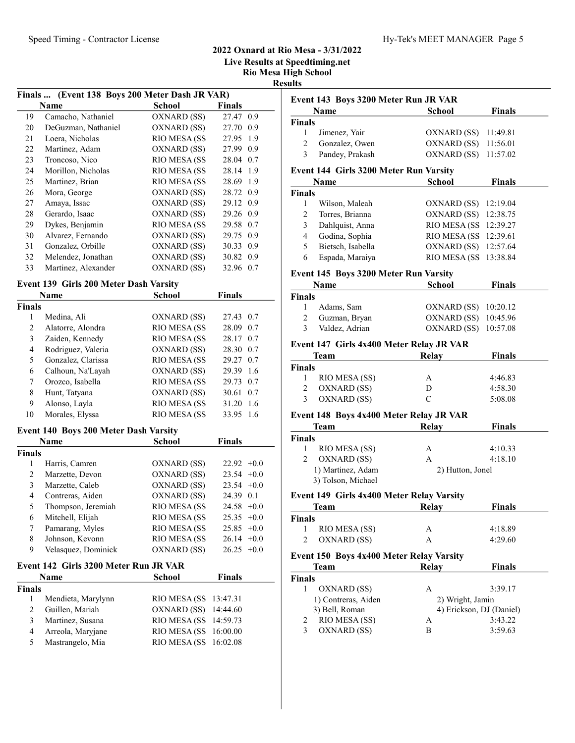## 2022 Oxnard at Rio Mesa - 3/31/2022

Live Results at Speedtiming.net

Rio Mesa High School

Results

Finals ... (Event 138 Boys 200 Meter Dash JR VAR)  $\overline{\phantom{a}}$ 

|    | Name                | <b>School</b> | <b>Finals</b> |
|----|---------------------|---------------|---------------|
| 19 | Camacho, Nathaniel  | OXNARD (SS)   | 27.47 0.9     |
| 20 | DeGuzman, Nathaniel | OXNARD (SS)   | 27.70<br>0.9  |
| 21 | Loera, Nicholas     | RIO MESA (SS  | 27.95 1.9     |
| 22 | Martinez, Adam      | OXNARD (SS)   | 27.99<br>0.9  |
| 23 | Troncoso, Nico      | RIO MESA (SS  | 28.04<br>0.7  |
| 24 | Morillon, Nicholas  | RIO MESA (SS  | 28.14 1.9     |
| 25 | Martinez, Brian     | RIO MESA (SS  | 28.69 1.9     |
| 26 | Mora, George        | OXNARD (SS)   | 28.72 0.9     |
| 27 | Amaya, Issac        | OXNARD (SS)   | 29.12 0.9     |
| 28 | Gerardo, Isaac      | OXNARD (SS)   | 29.26 0.9     |
| 29 | Dykes, Benjamin     | RIO MESA (SS  | 0.7<br>29.58  |
| 30 | Alvarez, Fernando   | OXNARD (SS)   | 29.75<br>0.9  |
| 31 | Gonzalez, Orbille   | OXNARD (SS)   | 0.9<br>30.33  |
| 32 | Melendez, Jonathan  | OXNARD (SS)   | 30.82 0.9     |
| 33 | Martinez, Alexander | OXNARD (SS)   | 32.96<br>0.7  |

# Event 139 Girls 200 Meter Dash Varsity

| Name          |                    | School       | Finals       |
|---------------|--------------------|--------------|--------------|
| <b>Finals</b> |                    |              |              |
| 1             | Medina, Ali        | OXNARD (SS)  | 27.43 0.7    |
| 2             | Alatorre, Alondra  | RIO MESA (SS | 28.09<br>0.7 |
| 3             | Zaiden, Kennedy    | RIO MESA (SS | 28.17<br>0.7 |
| 4             | Rodriguez, Valeria | OXNARD (SS)  | 28.30<br>0.7 |
| 5             | Gonzalez, Clarissa | RIO MESA (SS | 29.27 0.7    |
| 6             | Calhoun, Na'Layah  | OXNARD (SS)  | 29.39<br>1.6 |
| 7             | Orozco, Isabella   | RIO MESA (SS | 29.73<br>0.7 |
| 8             | Hunt, Tatyana      | OXNARD (SS)  | 30.61<br>0.7 |
| 9             | Alonso, Layla      | RIO MESA (SS | 31.20<br>1.6 |
| 10            | Morales, Elyssa    | RIO MESA (SS | 33.95<br>1.6 |

#### Event 140 Boys 200 Meter Dash Varsity

| Name          |                     | <b>School</b> | <b>Finals</b>   |
|---------------|---------------------|---------------|-----------------|
| <b>Finals</b> |                     |               |                 |
|               | Harris, Camren      | OXNARD (SS)   | $22.92 +0.0$    |
| 2             | Marzette, Devon     | OXNARD (SS)   | $23.54 +0.0$    |
| 3             | Marzette, Caleb     | OXNARD (SS)   | $23.54 +0.0$    |
| 4             | Contreras, Aiden    | OXNARD (SS)   | 24.39 0.1       |
| 5             | Thompson, Jeremiah  | RIO MESA (SS  | $24.58 + 0.0$   |
| 6             | Mitchell, Elijah    | RIO MESA (SS  | $25.35 +0.0$    |
| 7             | Pamarang, Myles     | RIO MESA (SS  | $25.85 +0.0$    |
| 8             | Johnson, Kevonn     | RIO MESA (SS  | $26.14 + 0.0$   |
| 9             | Velasquez, Dominick | OXNARD (SS)   | 26.25<br>$+0.0$ |

#### Event 142 Girls 3200 Meter Run JR VAR

|                | <b>Name</b>        | <b>School</b>          | <b>Finals</b> |
|----------------|--------------------|------------------------|---------------|
| <b>Finals</b>  |                    |                        |               |
|                | Mendieta, Marylynn | RIO MESA (SS 13:47.31) |               |
| $\mathfrak{D}$ | Guillen, Mariah    | OXNARD (SS) 14:44.60   |               |
| 3              | Martinez, Susana   | RIO MESA (SS 14:59.73  |               |
| 4              | Arreola, Maryjane  | RIO MESA (SS 16:00.00  |               |
| 5              | Mastrangelo, Mia   | RIO MESA (SS 16:02.08  |               |

| Event 143 Boys 3200 Meter Run JR VAR |                                               |                       |               |  |  |
|--------------------------------------|-----------------------------------------------|-----------------------|---------------|--|--|
| School<br><b>Finals</b><br>Name      |                                               |                       |               |  |  |
| Finals                               |                                               |                       |               |  |  |
| 1                                    | Jimenez, Yair                                 | OXNARD (SS)           | 11:49.81      |  |  |
| 2                                    | Gonzalez, Owen                                | OXNARD (SS)           | 11:56.01      |  |  |
| 3                                    | Pandey, Prakash                               | OXNARD (SS)           | 11:57.02      |  |  |
|                                      | <b>Event 144 Girls 3200 Meter Run Varsity</b> |                       |               |  |  |
|                                      | Name                                          | School                | <b>Finals</b> |  |  |
| Finals                               |                                               |                       |               |  |  |
| 1                                    | Wilson, Maleah                                | OXNARD (SS)           | 12:19.04      |  |  |
| 2                                    | Torres, Brianna                               | OXNARD (SS)           | 12:38.75      |  |  |
| 3                                    | Dahlquist, Anna                               | RIO MESA (SS 12:39.27 |               |  |  |
| 4                                    | Godina, Sophia                                | RIO MESA (SS 12:39.61 |               |  |  |

# Event 145 Boys 3200 Meter Run Varsity

|               | $\frac{1}{2}$ , which is the set of $\frac{1}{2}$ of $\frac{1}{2}$ and $\frac{1}{2}$ are $\frac{1}{2}$ and $\frac{1}{2}$ and $\frac{1}{2}$ are $\frac{1}{2}$ |                      |               |  |
|---------------|--------------------------------------------------------------------------------------------------------------------------------------------------------------|----------------------|---------------|--|
| <b>Name</b>   |                                                                                                                                                              | <b>School</b>        | <b>Finals</b> |  |
| <b>Finals</b> |                                                                                                                                                              |                      |               |  |
| 1             | Adams, Sam                                                                                                                                                   | OXNARD (SS) 10:20.12 |               |  |
| 2             | Guzman, Bryan                                                                                                                                                | OXNARD (SS) 10:45.96 |               |  |
| 3             | Valdez, Adrian                                                                                                                                               | OXNARD (SS) 10:57.08 |               |  |
|               |                                                                                                                                                              |                      |               |  |

5 Bietsch, Isabella OXNARD (SS) 12:57.64 6 13:38.84 Espada, Maraiya RIO MESA (SS

#### Event 147 Girls 4x400 Meter Relay JR VAR

|        | Team          | Relay | <b>Finals</b> |  |
|--------|---------------|-------|---------------|--|
| Finals |               |       |               |  |
|        | RIO MESA (SS) | A     | 4:46.83       |  |
|        | OXNARD (SS)   | D     | 4:58.30       |  |
| 3      | OXNARD (SS)   | C     | 5:08.08       |  |

#### Event 148 Boys 4x400 Meter Relay JR VAR

| Team   |                    | Relay            | <b>Finals</b> |
|--------|--------------------|------------------|---------------|
| Finals |                    |                  |               |
|        | RIO MESA (SS)      | A                | 4:10.33       |
|        | OXNARD (SS)        | А                | 4:18.10       |
|        | 1) Martinez, Adam  | 2) Hutton, Jonel |               |
|        | 3) Tolson, Michael |                  |               |

# $140 \text{ Ciala } 4x400 \text{ M}$ eter Relay Va

| Event 149 Girls 4x400 Meter Relay varsity       |               |       |               |  |  |
|-------------------------------------------------|---------------|-------|---------------|--|--|
|                                                 | Team          | Relay | <b>Finals</b> |  |  |
| Finals                                          |               |       |               |  |  |
|                                                 | RIO MESA (SS) | A     | 4:18.89       |  |  |
|                                                 | OXNARD (SS)   | А     | 4:29.60       |  |  |
| <b>Event 150 Boys 4x400 Meter Relay Varsity</b> |               |       |               |  |  |
|                                                 | Team          | Relay | <b>Finals</b> |  |  |

| А                                          | 3:39.17 |
|--------------------------------------------|---------|
| 2) Wright, Jamin                           |         |
| 4) Erickson, DJ (Daniel)<br>3) Bell, Roman |         |
|                                            | 3:43.22 |
|                                            | 3:59.63 |
|                                            |         |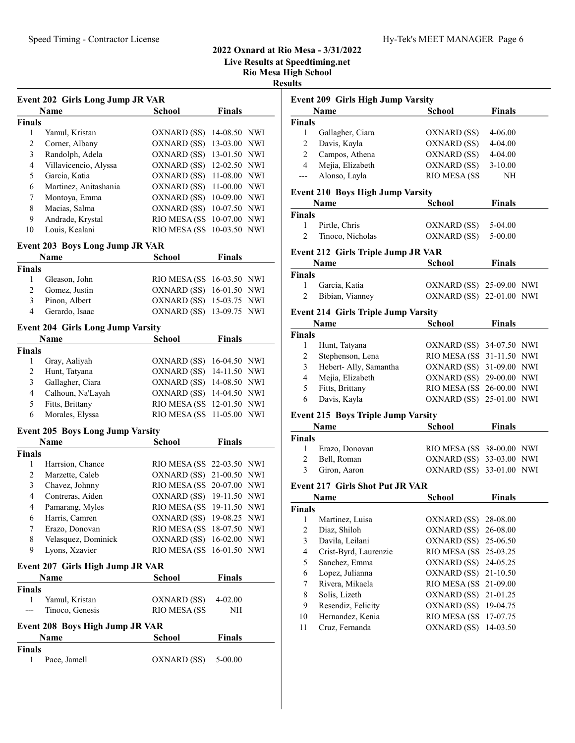# 2022 Oxnard at Rio Mesa - 3/31/2022 Live Results at Speedtiming.net

Rio Mesa High School

Results

|                | <b>Event 202 Girls Long Jump JR VAR</b>  |                           |               |            |
|----------------|------------------------------------------|---------------------------|---------------|------------|
|                | <b>Name</b>                              | <b>School</b>             | <b>Finals</b> |            |
| <b>Finals</b>  |                                          |                           |               |            |
| 1              | Yamul, Kristan                           | OXNARD (SS)               | 14-08.50 NWI  |            |
| $\overline{2}$ | Corner, Albany                           | OXNARD (SS)               | 13-03.00      | NWI        |
| 3              | Randolph, Adela                          | OXNARD (SS)               | 13-01.50      | NWI        |
| $\overline{4}$ | Villavicencio, Alyssa                    | OXNARD (SS)               | 12-02.50      | <b>NWI</b> |
| 5              | Garcia, Katia                            | OXNARD (SS)               | 11-08.00      | <b>NWI</b> |
| 6              | Martinez, Anitashania                    | OXNARD (SS)               | 11-00.00      | <b>NWI</b> |
| 7              | Montoya, Emma                            | OXNARD (SS)               | 10-09.00 NWI  |            |
| 8              | Macias, Salma                            | OXNARD (SS)               | 10-07.50 NWI  |            |
| 9              | Andrade, Krystal                         | <b>RIO MESA (SS)</b>      | 10-07.00 NWI  |            |
| 10             | Louis, Kealani                           | RIO MESA (SS              | 10-03.50 NWI  |            |
|                |                                          |                           |               |            |
|                | <b>Event 203 Boys Long Jump JR VAR</b>   |                           |               |            |
|                | Name                                     | <b>School</b>             | <b>Finals</b> |            |
| <b>Finals</b>  |                                          |                           |               |            |
| 1              | Gleason, John                            | RIO MESA (SS              | 16-03.50 NWI  |            |
| $\overline{2}$ | Gomez, Justin                            | OXNARD (SS)               | 16-01.50      | NWI        |
| 3              | Pinon, Albert                            | OXNARD (SS)               | 15-03.75      | NWI        |
| 4              | Gerardo, Isaac                           | OXNARD (SS)               | 13-09.75      | <b>NWI</b> |
|                | <b>Event 204 Girls Long Jump Varsity</b> |                           |               |            |
|                | Name                                     | <b>School</b>             | <b>Finals</b> |            |
| <b>Finals</b>  |                                          |                           |               |            |
| 1              | Gray, Aaliyah                            | OXNARD (SS)               | 16-04.50 NWI  |            |
| 2              | Hunt, Tatyana                            | OXNARD (SS)               | 14-11.50 NWI  |            |
| 3              | Gallagher, Ciara                         | OXNARD (SS)               | 14-08.50 NWI  |            |
| $\overline{4}$ | Calhoun, Na'Layah                        | OXNARD (SS)               | 14-04.50 NWI  |            |
| 5              | Fitts, Brittany                          | <b>RIO MESA (SS)</b>      | 12-01.50 NWI  |            |
| 6              | Morales, Elyssa                          | RIO MESA (SS              | 11-05.00 NWI  |            |
|                |                                          |                           |               |            |
|                | <b>Event 205 Boys Long Jump Varsity</b>  |                           |               |            |
|                | <b>Name</b>                              | <b>School</b>             | <b>Finals</b> |            |
| <b>Finals</b>  |                                          |                           |               |            |
| 1              | Harrsion, Chance                         | RIO MESA (SS              | 22-03.50 NWI  |            |
| 2              | Marzette, Caleb                          | OXNARD (SS)               | 21-00.50      | <b>NWI</b> |
| 3              | Chavez, Johnny                           | RIO MESA (SS              | 20-07.00      | NWI        |
| 4              | Contreras, Aiden                         | OXNARD (SS)               | 19-11.50 NWI  |            |
| 4              | Pamarang, Myles                          | RIO MESA (SS 19-11.50 NWI |               |            |
| 6              | Harris, Camren                           | OXNARD (SS) 19-08.25 NWI  |               |            |
| 7              | Erazo, Donovan                           | RIO MESA (SS              | 18-07.50 NWI  |            |
| 8              | Velasquez, Dominick                      | OXNARD (SS)               | 16-02.00 NWI  |            |
| 9              | Lyons, Xzavier                           | RIO MESA (SS              | 16-01.50 NWI  |            |
|                |                                          |                           |               |            |
|                | Event 207 Girls High Jump JR VAR<br>Name | School                    | <b>Finals</b> |            |
|                |                                          |                           |               |            |
| <b>Finals</b>  |                                          |                           |               |            |
| 1              | Yamul, Kristan                           | OXNARD (SS)               | 4-02.00       |            |
|                | Tinoco, Genesis                          | <b>RIO MESA (SS</b>       | NH            |            |
|                | Event 208 Boys High Jump JR VAR          |                           |               |            |
|                | <b>Name</b>                              | School                    | <b>Finals</b> |            |
| Finals         |                                          |                           |               |            |
| 1              | Pace, Jamell                             | OXNARD (SS)               | 5-00.00       |            |
|                |                                          |                           |               |            |

## Event 209 Girls High Jump Varsity Name School Finals Finals 1 Gallagher, Ciara OXNARD (SS) 4-06.00 2 Davis, Kayla OXNARD (SS) 4-04.00 2 Campos, Athena OXNARD (SS) 4-04.00 4 Mejia, Elizabeth OXNARD (SS) 3-10.00 --- Alonso, Layla RIO MESA (SS NH Event 210 Boys High Jump Varsity Name School Finals Finals 1 Pirtle, Chris OXNARD (SS) 5-04.00 2 Tinoco, Nicholas OXNARD (SS) 5-00.00 Event 212 Girls Triple Jump JR VAR Name School Finals Finals 1 Garcia, Katia  $(XN)$  OXNARD (SS) 25-09.00 NWI 2 Bibian, Vianney OXNARD (SS) 22-01.00 NWI Event 214 Girls Triple Jump Varsity Name **School** Finals Finals 1 Hunt, Tatyana OXNARD (SS) 34-07.50 NWI 2 Stephenson, Lena RIO MESA (SS 31-11.50 NWI 3 Hebert- Ally, Samantha OXNARD (SS) 31-09.00 NWI 4 Mejia, Elizabeth OXNARD (SS) 29-00.00 NWI 5 Fitts, Brittany RIO MESA (SS 26-00.00 NWI 6 Davis, Kayla OXNARD (SS) 25-01.00 NWI Event 215 Boys Triple Jump Varsity Name School Finals Finals 1 Erazo, Donovan RIO MESA (SS 38-00.00 NWI 2 Bell, Roman OXNARD (SS) 33-03.00 NWI 3 Giron, Aaron OXNARD (SS) 33-01.00 NWI Event 217 Girls Shot Put JR VAR **Name School Finals** Finals 1 Martinez, Luisa OXNARD (SS) 28-08.00 2 Diaz, Shiloh OXNARD (SS) 26-08.00 3 Davila, Leilani OXNARD (SS) 25-06.50 4 Crist-Byrd, Laurenzie RIO MESA (SS 25-03.25 5 Sanchez, Emma OXNARD (SS) 24-05.25 6 21-10.50 Lopez, Julianna OXNARD (SS) 7 Rivera, Mikaela RIO MESA (SS 21-09.00 8 Solis, Lizeth OXNARD (SS) 21-01.25 9 Resendiz, Felicity OXNARD (SS) 19-04.75 10 Hernandez, Kenia RIO MESA (SS 17-07.75 11 Cruz, Fernanda OXNARD (SS) 14-03.50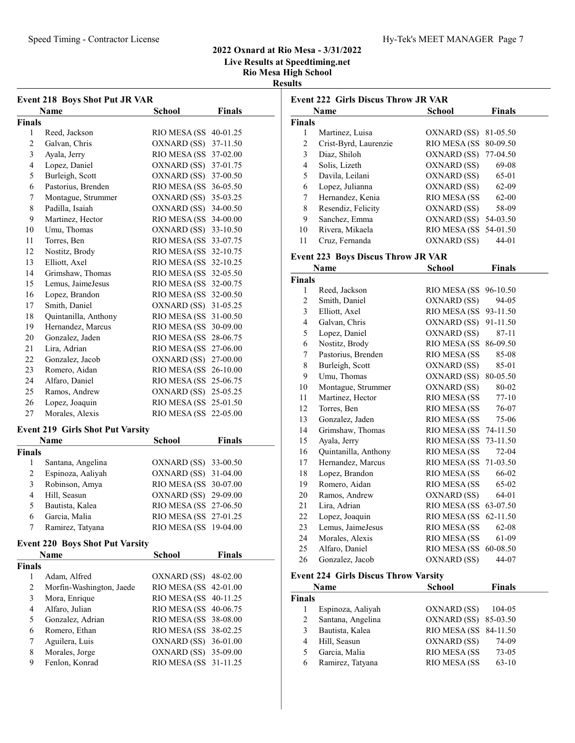# 2022 Oxnard at Rio Mesa - 3/31/2022 Live Results at Speedtiming.net Rio Mesa High School

| . |  | 1989 - 1988 - 1988 - 1988 - 1989 - 1989 - 1989 - 1989 - 1989 - 1989 - 1989 - 1989 - 1980 - 1980 - 1980 - 1980 |  |
|---|--|---------------------------------------------------------------------------------------------------------------|--|
|   |  |                                                                                                               |  |
|   |  |                                                                                                               |  |

Results

| <b>Event 218 Boys Shot Put JR VAR</b> |                                         |                       |               |  |
|---------------------------------------|-----------------------------------------|-----------------------|---------------|--|
|                                       | <b>Name</b>                             | School                | Finals        |  |
| Finals                                |                                         |                       |               |  |
| 1                                     | Reed, Jackson                           | RIO MESA (SS          | 40-01.25      |  |
| $\overline{c}$                        | Galvan, Chris                           | OXNARD (SS)           | 37-11.50      |  |
| 3                                     | Ayala, Jerry                            | RIO MESA (SS          | 37-02.00      |  |
| 4                                     | Lopez, Daniel                           | OXNARD (SS)           | 37-01.75      |  |
| 5                                     | Burleigh, Scott                         | OXNARD (SS)           | 37-00.50      |  |
| 6                                     | Pastorius, Brenden                      | RIO MESA (SS          | 36-05.50      |  |
| 7                                     | Montague, Strummer                      | OXNARD (SS)           | 35-03.25      |  |
| 8                                     | Padilla, Isaiah                         | OXNARD (SS)           | 34-00.50      |  |
| 9                                     | Martinez, Hector                        | RIO MESA (SS          | 34-00.00      |  |
| 10                                    | Umu, Thomas                             | OXNARD (SS)           | 33-10.50      |  |
| 11                                    | Torres, Ben                             | RIO MESA (SS          | 33-07.75      |  |
| 12                                    | Nostitz, Brody                          | RIO MESA (SS 32-10.75 |               |  |
| 13                                    | Elliott, Axel                           | RIO MESA (SS          | 32-10.25      |  |
| 14                                    | Grimshaw, Thomas                        | RIO MESA (SS          | 32-05.50      |  |
| 15                                    | Lemus, JaimeJesus                       | RIO MESA (SS          | 32-00.75      |  |
| 16                                    | Lopez, Brandon                          | RIO MESA (SS          | 32-00.50      |  |
| 17                                    | Smith, Daniel                           | OXNARD (SS)           | 31-05.25      |  |
| 18                                    | Quintanilla, Anthony                    | RIO MESA (SS          | 31-00.50      |  |
| 19                                    | Hernandez, Marcus                       | RIO MESA (SS          | 30-09.00      |  |
| 20                                    | Gonzalez, Jaden                         | RIO MESA (SS          | 28-06.75      |  |
| 21                                    | Lira, Adrian                            | RIO MESA (SS          | 27-06.00      |  |
| 22                                    | Gonzalez, Jacob                         | OXNARD (SS)           | 27-00.00      |  |
| 23                                    | Romero, Aidan                           | RIO MESA (SS 26-10.00 |               |  |
| 24                                    | Alfaro, Daniel                          | RIO MESA (SS          | 25-06.75      |  |
| 25                                    | Ramos, Andrew                           | OXNARD (SS)           | 25-05.25      |  |
| 26                                    | Lopez, Joaquin                          | RIO MESA (SS          | 25-01.50      |  |
| 27                                    | Morales, Alexis                         | RIO MESA (SS          | 22-05.00      |  |
|                                       | <b>Event 219 Girls Shot Put Varsity</b> |                       |               |  |
|                                       | Name                                    | School                | <b>Finals</b> |  |
| Finals                                |                                         |                       |               |  |
| 1                                     | Santana, Angelina                       | OXNARD (SS)           | 33-00.50      |  |
| 2                                     | Espinoza, Aaliyah                       | OXNARD (SS)           | 31-04.00      |  |
| 3                                     | Robinson, Amya                          | RIO MESA (SS 30-07.00 |               |  |
| $\overline{4}$                        | Hill, Seasun                            | OXNARD (SS) 29-09.00  |               |  |
| 5                                     | Bautista, Kalea                         | RIO MESA (SS 27-06.50 |               |  |
| 6                                     | Garcia, Malia                           | RIO MESA (SS 27-01.25 |               |  |
| 7                                     | Ramirez, Tatyana                        | RIO MESA (SS 19-04.00 |               |  |
|                                       |                                         |                       |               |  |
|                                       | <b>Event 220 Boys Shot Put Varsity</b>  |                       |               |  |
|                                       | <b>Name</b>                             | <b>School</b>         | <b>Finals</b> |  |
| Finals                                |                                         |                       |               |  |
| 1                                     | Adam, Alfred                            | OXNARD (SS)           | 48-02.00      |  |
| $\boldsymbol{2}$                      | Morfin-Washington, Jaede                | RIO MESA (SS          | 42-01.00      |  |
| 3                                     | Mora, Enrique                           | RIO MESA (SS          | 40-11.25      |  |
| $\overline{\mathbf{4}}$               | Alfaro, Julian                          | RIO MESA (SS          | 40-06.75      |  |
| 5                                     | Gonzalez, Adrian                        | RIO MESA (SS          | 38-08.00      |  |
| 6                                     | Romero, Ethan                           | RIO MESA (SS          | 38-02.25      |  |
| 7                                     | Aguilera, Luis                          | OXNARD (SS)           | 36-01.00      |  |
| 8                                     | Morales, Jorge                          | OXNARD (SS)           | 35-09.00      |  |
| 9                                     | Fenlon, Konrad                          | RIO MESA (SS          | 31-11.25      |  |
|                                       |                                         |                       |               |  |

| <b>Event 222 Girls Discus Throw JR VAR</b> |                                             |                               |               |  |  |  |
|--------------------------------------------|---------------------------------------------|-------------------------------|---------------|--|--|--|
|                                            | Name                                        | <b>School</b>                 | <b>Finals</b> |  |  |  |
| <b>Finals</b>                              |                                             |                               |               |  |  |  |
| 1                                          | Martinez, Luisa                             | OXNARD (SS)                   | 81-05.50      |  |  |  |
| 2                                          | Crist-Byrd, Laurenzie                       | RIO MESA (SS                  | 80-09.50      |  |  |  |
| 3                                          | Diaz, Shiloh                                | OXNARD (SS)                   | 77-04.50      |  |  |  |
| 4                                          | Solis, Lizeth                               | OXNARD (SS)                   | 69-08         |  |  |  |
| 5                                          | Davila, Leilani                             | OXNARD (SS)                   | 65-01         |  |  |  |
| 6                                          | Lopez, Julianna                             | OXNARD (SS)                   | 62-09         |  |  |  |
| 7                                          | Hernandez, Kenia                            | RIO MESA (SS                  | 62-00         |  |  |  |
| 8                                          | Resendiz, Felicity                          | OXNARD (SS)                   | 58-09         |  |  |  |
| 9                                          | Sanchez, Emma                               | OXNARD (SS)                   | 54-03.50      |  |  |  |
| 10                                         | Rivera, Mikaela                             | RIO MESA (SS                  | 54-01.50      |  |  |  |
| 11                                         | Cruz, Fernanda                              | OXNARD (SS)                   | 44-01         |  |  |  |
|                                            | <b>Event 223 Boys Discus Throw JR VAR</b>   |                               |               |  |  |  |
|                                            | Name                                        | <b>School</b>                 | <b>Finals</b> |  |  |  |
| <b>Finals</b>                              |                                             |                               |               |  |  |  |
| 1                                          | Reed, Jackson                               | RIO MESA (SS                  | 96-10.50      |  |  |  |
| 2                                          | Smith, Daniel                               | OXNARD (SS)                   | 94-05         |  |  |  |
| 3                                          | Elliott, Axel                               | RIO MESA (SS                  | 93-11.50      |  |  |  |
| 4                                          | Galvan, Chris                               | OXNARD (SS)                   | 91-11.50      |  |  |  |
| 5                                          | Lopez, Daniel                               | OXNARD (SS)                   | 87-11         |  |  |  |
| 6                                          | Nostitz, Brody                              | RIO MESA (SS                  | 86-09.50      |  |  |  |
| 7                                          | Pastorius, Brenden                          | RIO MESA (SS                  | 85-08         |  |  |  |
| 8                                          | Burleigh, Scott                             | OXNARD (SS)                   | 85-01         |  |  |  |
| 9                                          | Umu, Thomas                                 | OXNARD (SS)                   | 80-05.50      |  |  |  |
| 10                                         | Montague, Strummer                          | OXNARD (SS)                   | 80-02         |  |  |  |
| 11                                         | Martinez, Hector                            | RIO MESA (SS                  | 77-10         |  |  |  |
| 12                                         | Torres, Ben                                 | RIO MESA (SS                  | 76-07         |  |  |  |
| 13                                         | Gonzalez, Jaden                             | RIO MESA (SS                  | 75-06         |  |  |  |
| 14                                         | Grimshaw, Thomas                            | RIO MESA (SS                  | 74-11.50      |  |  |  |
| 15                                         | Ayala, Jerry                                | RIO MESA (SS                  | 73-11.50      |  |  |  |
| 16                                         | Quintanilla, Anthony                        | RIO MESA (SS                  | $72 - 04$     |  |  |  |
| 17                                         | Hernandez, Marcus                           | RIO MESA (SS                  | 71-03.50      |  |  |  |
| 18                                         | Lopez, Brandon                              | RIO MESA (SS                  | 66-02         |  |  |  |
| 19                                         | Romero, Aidan                               | RIO MESA (SS                  | 65-02         |  |  |  |
| 20                                         | Ramos, Andrew                               | OXNARD (SS)                   | 64-01         |  |  |  |
| 21                                         | Lira, Adrian                                | RIO MESA (SS 63-07.50         |               |  |  |  |
| 22                                         | Lopez, Joaquin                              | RIO MESA (SS 62-11.50         |               |  |  |  |
| 23                                         | Lemus, JaimeJesus                           | RIO MESA (SS                  | 62-08         |  |  |  |
| 24                                         | Morales, Alexis                             | RIO MESA (SS                  | 61-09         |  |  |  |
| 25                                         | Alfaro, Daniel                              | RIO MESA (SS                  | 60-08.50      |  |  |  |
| 26                                         | Gonzalez, Jacob                             | OXNARD (SS)                   | 44-07         |  |  |  |
|                                            | <b>Event 224 Girls Discus Throw Varsity</b> |                               |               |  |  |  |
|                                            | Name                                        | School                        | <b>Finals</b> |  |  |  |
| <b>Finals</b>                              |                                             |                               |               |  |  |  |
|                                            |                                             | $\alpha$ VNI ADD $\alpha$ CC) | 1040c         |  |  |  |

| Espinoza, Aaliyah | OXNARD (SS)  | 104-05  |                                                |
|-------------------|--------------|---------|------------------------------------------------|
| Santana, Angelina |              |         |                                                |
| Bautista, Kalea   |              |         |                                                |
| Hill, Seasun      | OXNARD (SS)  | 74-09   |                                                |
| Garcia, Malia     | RIO MESA (SS | 73-05   |                                                |
| Ramirez, Tatyana  | RIO MESA (SS | $63-10$ |                                                |
|                   |              |         | OXNARD (SS) 85-03.50<br>RIO MESA (SS 84-11.50) |